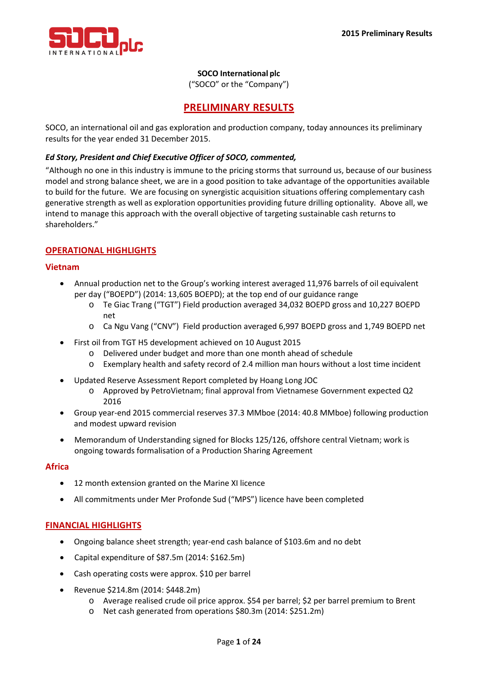

## **SOCO International plc**

("SOCO" or the "Company")

## **PRELIMINARY RESULTS**

SOCO, an international oil and gas exploration and production company, today announces its preliminary results for the year ended 31 December 2015.

#### *Ed Story, President and Chief Executive Officer of SOCO, commented,*

"Although no one in this industry is immune to the pricing storms that surround us, because of our business model and strong balance sheet, we are in a good position to take advantage of the opportunities available to build for the future. We are focusing on synergistic acquisition situations offering complementary cash generative strength as well as exploration opportunities providing future drilling optionality. Above all, we intend to manage this approach with the overall objective of targeting sustainable cash returns to shareholders."

## **OPERATIONAL HIGHLIGHTS**

#### **Vietnam**

- Annual production net to the Group's working interest averaged 11,976 barrels of oil equivalent per day ("BOEPD") (2014: 13,605 BOEPD); at the top end of our guidance range
	- o Te Giac Trang ("TGT") Field production averaged 34,032 BOEPD gross and 10,227 BOEPD net
	- o Ca Ngu Vang ("CNV") Field production averaged 6,997 BOEPD gross and 1,749 BOEPD net
- First oil from TGT H5 development achieved on 10 August 2015
	- o Delivered under budget and more than one month ahead of schedule
	- o Exemplary health and safety record of 2.4 million man hours without a lost time incident
- Updated Reserve Assessment Report completed by Hoang Long JOC
	- o Approved by PetroVietnam; final approval from Vietnamese Government expected Q2 2016
- Group year-end 2015 commercial reserves 37.3 MMboe (2014: 40.8 MMboe) following production and modest upward revision
- Memorandum of Understanding signed for Blocks 125/126, offshore central Vietnam; work is ongoing towards formalisation of a Production Sharing Agreement

#### **Africa**

- 12 month extension granted on the Marine XI licence
- All commitments under Mer Profonde Sud ("MPS") licence have been completed

## **FINANCIAL HIGHLIGHTS**

- Ongoing balance sheet strength; year-end cash balance of \$103.6m and no debt
- Capital expenditure of \$87.5m (2014: \$162.5m)
- Cash operating costs were approx. \$10 per barrel
- Revenue \$214.8m (2014: \$448.2m)
	- o Average realised crude oil price approx. \$54 per barrel; \$2 per barrel premium to Brent
	- o Net cash generated from operations \$80.3m (2014: \$251.2m)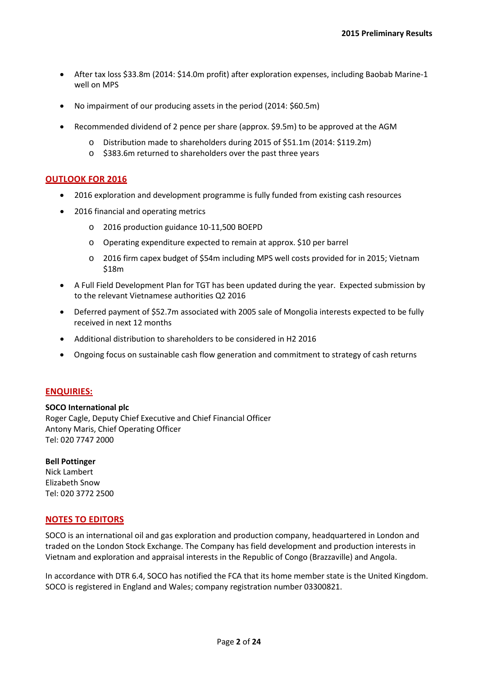- After tax loss \$33.8m (2014: \$14.0m profit) after exploration expenses, including Baobab Marine-1 well on MPS
- No impairment of our producing assets in the period (2014: \$60.5m)
- Recommended dividend of 2 pence per share (approx. \$9.5m) to be approved at the AGM
	- o Distribution made to shareholders during 2015 of \$51.1m (2014: \$119.2m)
	- o \$383.6m returned to shareholders over the past three years

#### **OUTLOOK FOR 2016**

- 2016 exploration and development programme is fully funded from existing cash resources
- 2016 financial and operating metrics
	- o 2016 production guidance 10-11,500 BOEPD
	- o Operating expenditure expected to remain at approx. \$10 per barrel
	- o 2016 firm capex budget of \$54m including MPS well costs provided for in 2015; Vietnam \$18m
- A Full Field Development Plan for TGT has been updated during the year. Expected submission by to the relevant Vietnamese authorities Q2 2016
- Deferred payment of \$52.7m associated with 2005 sale of Mongolia interests expected to be fully received in next 12 months
- Additional distribution to shareholders to be considered in H2 2016
- Ongoing focus on sustainable cash flow generation and commitment to strategy of cash returns

## **ENQUIRIES:**

#### **SOCO International plc** Roger Cagle, Deputy Chief Executive and Chief Financial Officer Antony Maris, Chief Operating Officer Tel: 020 7747 2000

## **Bell Pottinger**

Nick Lambert Elizabeth Snow Tel: 020 3772 2500

## **NOTES TO EDITORS**

SOCO is an international oil and gas exploration and production company, headquartered in London and traded on the London Stock Exchange. The Company has field development and production interests in Vietnam and exploration and appraisal interests in the Republic of Congo (Brazzaville) and Angola.

In accordance with DTR 6.4, SOCO has notified the FCA that its home member state is the United Kingdom. SOCO is registered in England and Wales; company registration number 03300821.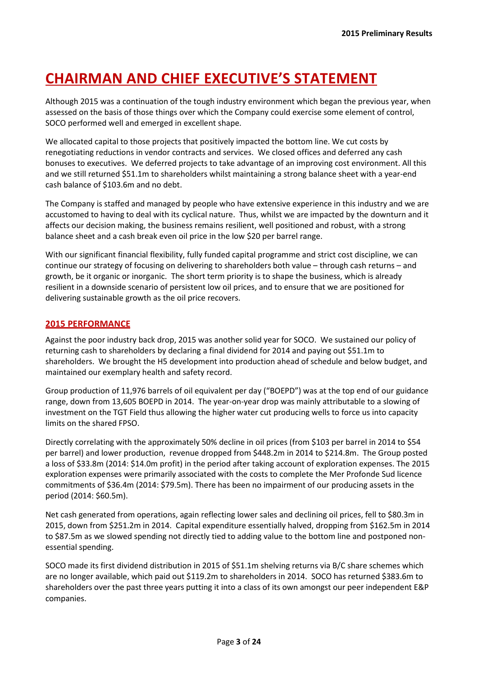# **CHAIRMAN AND CHIEF EXECUTIVE'S STATEMENT**

Although 2015 was a continuation of the tough industry environment which began the previous year, when assessed on the basis of those things over which the Company could exercise some element of control, SOCO performed well and emerged in excellent shape.

We allocated capital to those projects that positively impacted the bottom line. We cut costs by renegotiating reductions in vendor contracts and services. We closed offices and deferred any cash bonuses to executives. We deferred projects to take advantage of an improving cost environment. All this and we still returned \$51.1m to shareholders whilst maintaining a strong balance sheet with a year-end cash balance of \$103.6m and no debt.

The Company is staffed and managed by people who have extensive experience in this industry and we are accustomed to having to deal with its cyclical nature. Thus, whilst we are impacted by the downturn and it affects our decision making, the business remains resilient, well positioned and robust, with a strong balance sheet and a cash break even oil price in the low \$20 per barrel range.

With our significant financial flexibility, fully funded capital programme and strict cost discipline, we can continue our strategy of focusing on delivering to shareholders both value – through cash returns – and growth, be it organic or inorganic. The short term priority is to shape the business, which is already resilient in a downside scenario of persistent low oil prices, and to ensure that we are positioned for delivering sustainable growth as the oil price recovers.

## **2015 PERFORMANCE**

Against the poor industry back drop, 2015 was another solid year for SOCO. We sustained our policy of returning cash to shareholders by declaring a final dividend for 2014 and paying out \$51.1m to shareholders. We brought the H5 development into production ahead of schedule and below budget, and maintained our exemplary health and safety record.

Group production of 11,976 barrels of oil equivalent per day ("BOEPD") was at the top end of our guidance range, down from 13,605 BOEPD in 2014. The year-on-year drop was mainly attributable to a slowing of investment on the TGT Field thus allowing the higher water cut producing wells to force us into capacity limits on the shared FPSO.

Directly correlating with the approximately 50% decline in oil prices (from \$103 per barrel in 2014 to \$54 per barrel) and lower production, revenue dropped from \$448.2m in 2014 to \$214.8m. The Group posted a loss of \$33.8m (2014: \$14.0m profit) in the period after taking account of exploration expenses. The 2015 exploration expenses were primarily associated with the costs to complete the Mer Profonde Sud licence commitments of \$36.4m (2014: \$79.5m). There has been no impairment of our producing assets in the period (2014: \$60.5m).

Net cash generated from operations, again reflecting lower sales and declining oil prices, fell to \$80.3m in 2015, down from \$251.2m in 2014. Capital expenditure essentially halved, dropping from \$162.5m in 2014 to \$87.5m as we slowed spending not directly tied to adding value to the bottom line and postponed nonessential spending.

SOCO made its first dividend distribution in 2015 of \$51.1m shelving returns via B/C share schemes which are no longer available, which paid out \$119.2m to shareholders in 2014. SOCO has returned \$383.6m to shareholders over the past three years putting it into a class of its own amongst our peer independent E&P companies.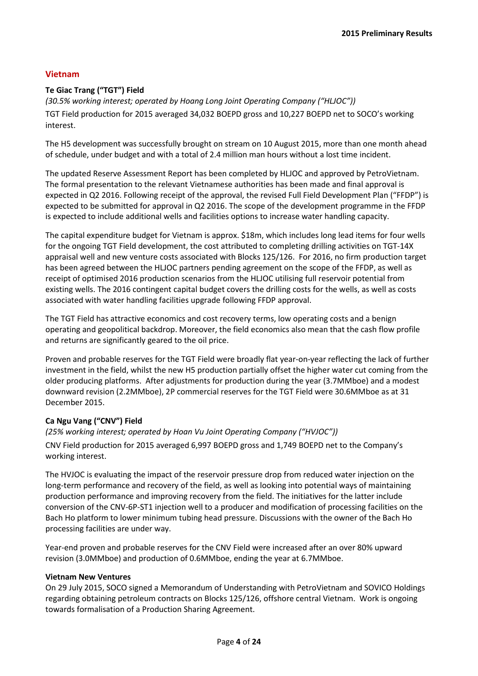## **Vietnam**

## **Te Giac Trang ("TGT") Field**

*(30.5% working interest; operated by Hoang Long Joint Operating Company ("HLJOC"))* TGT Field production for 2015 averaged 34,032 BOEPD gross and 10,227 BOEPD net to SOCO's working interest.

The H5 development was successfully brought on stream on 10 August 2015, more than one month ahead of schedule, under budget and with a total of 2.4 million man hours without a lost time incident.

The updated Reserve Assessment Report has been completed by HLJOC and approved by PetroVietnam. The formal presentation to the relevant Vietnamese authorities has been made and final approval is expected in Q2 2016. Following receipt of the approval, the revised Full Field Development Plan ("FFDP") is expected to be submitted for approval in Q2 2016. The scope of the development programme in the FFDP is expected to include additional wells and facilities options to increase water handling capacity.

The capital expenditure budget for Vietnam is approx. \$18m, which includes long lead items for four wells for the ongoing TGT Field development, the cost attributed to completing drilling activities on TGT-14X appraisal well and new venture costs associated with Blocks 125/126. For 2016, no firm production target has been agreed between the HLJOC partners pending agreement on the scope of the FFDP, as well as receipt of optimised 2016 production scenarios from the HLJOC utilising full reservoir potential from existing wells. The 2016 contingent capital budget covers the drilling costs for the wells, as well as costs associated with water handling facilities upgrade following FFDP approval.

The TGT Field has attractive economics and cost recovery terms, low operating costs and a benign operating and geopolitical backdrop. Moreover, the field economics also mean that the cash flow profile and returns are significantly geared to the oil price.

Proven and probable reserves for the TGT Field were broadly flat year-on-year reflecting the lack of further investment in the field, whilst the new H5 production partially offset the higher water cut coming from the older producing platforms. After adjustments for production during the year (3.7MMboe) and a modest downward revision (2.2MMboe), 2P commercial reserves for the TGT Field were 30.6MMboe as at 31 December 2015.

## **Ca Ngu Vang ("CNV") Field**

*(25% working interest; operated by Hoan Vu Joint Operating Company ("HVJOC"))* CNV Field production for 2015 averaged 6,997 BOEPD gross and 1,749 BOEPD net to the Company's working interest.

The HVJOC is evaluating the impact of the reservoir pressure drop from reduced water injection on the long-term performance and recovery of the field, as well as looking into potential ways of maintaining production performance and improving recovery from the field. The initiatives for the latter include conversion of the CNV-6P-ST1 injection well to a producer and modification of processing facilities on the Bach Ho platform to lower minimum tubing head pressure. Discussions with the owner of the Bach Ho processing facilities are under way.

Year-end proven and probable reserves for the CNV Field were increased after an over 80% upward revision (3.0MMboe) and production of 0.6MMboe, ending the year at 6.7MMboe.

#### **Vietnam New Ventures**

On 29 July 2015, SOCO signed a Memorandum of Understanding with PetroVietnam and SOVICO Holdings regarding obtaining petroleum contracts on Blocks 125/126, offshore central Vietnam. Work is ongoing towards formalisation of a Production Sharing Agreement.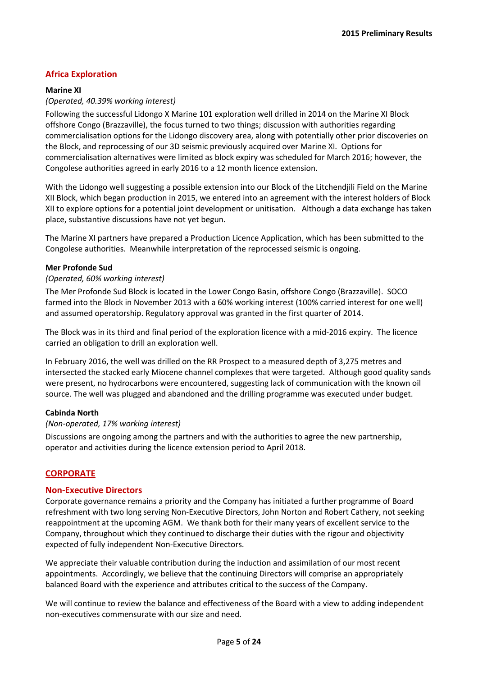## **Africa Exploration**

#### **Marine XI**

#### *(Operated, 40.39% working interest)*

Following the successful Lidongo X Marine 101 exploration well drilled in 2014 on the Marine XI Block offshore Congo (Brazzaville), the focus turned to two things; discussion with authorities regarding commercialisation options for the Lidongo discovery area, along with potentially other prior discoveries on the Block, and reprocessing of our 3D seismic previously acquired over Marine XI. Options for commercialisation alternatives were limited as block expiry was scheduled for March 2016; however, the Congolese authorities agreed in early 2016 to a 12 month licence extension.

With the Lidongo well suggesting a possible extension into our Block of the Litchendjili Field on the Marine XII Block, which began production in 2015, we entered into an agreement with the interest holders of Block XII to explore options for a potential joint development or unitisation. Although a data exchange has taken place, substantive discussions have not yet begun.

The Marine XI partners have prepared a Production Licence Application, which has been submitted to the Congolese authorities. Meanwhile interpretation of the reprocessed seismic is ongoing.

#### **Mer Profonde Sud**

#### *(Operated, 60% working interest)*

The Mer Profonde Sud Block is located in the Lower Congo Basin, offshore Congo (Brazzaville). SOCO farmed into the Block in November 2013 with a 60% working interest (100% carried interest for one well) and assumed operatorship. Regulatory approval was granted in the first quarter of 2014.

The Block was in its third and final period of the exploration licence with a mid-2016 expiry. The licence carried an obligation to drill an exploration well.

In February 2016, the well was drilled on the RR Prospect to a measured depth of 3,275 metres and intersected the stacked early Miocene channel complexes that were targeted. Although good quality sands were present, no hydrocarbons were encountered, suggesting lack of communication with the known oil source. The well was plugged and abandoned and the drilling programme was executed under budget.

#### **Cabinda North**

#### *(Non-operated, 17% working interest)*

Discussions are ongoing among the partners and with the authorities to agree the new partnership, operator and activities during the licence extension period to April 2018.

## **CORPORATE**

#### **Non-Executive Directors**

Corporate governance remains a priority and the Company has initiated a further programme of Board refreshment with two long serving Non-Executive Directors, John Norton and Robert Cathery, not seeking reappointment at the upcoming AGM. We thank both for their many years of excellent service to the Company, throughout which they continued to discharge their duties with the rigour and objectivity expected of fully independent Non-Executive Directors.

We appreciate their valuable contribution during the induction and assimilation of our most recent appointments. Accordingly, we believe that the continuing Directors will comprise an appropriately balanced Board with the experience and attributes critical to the success of the Company.

We will continue to review the balance and effectiveness of the Board with a view to adding independent non-executives commensurate with our size and need.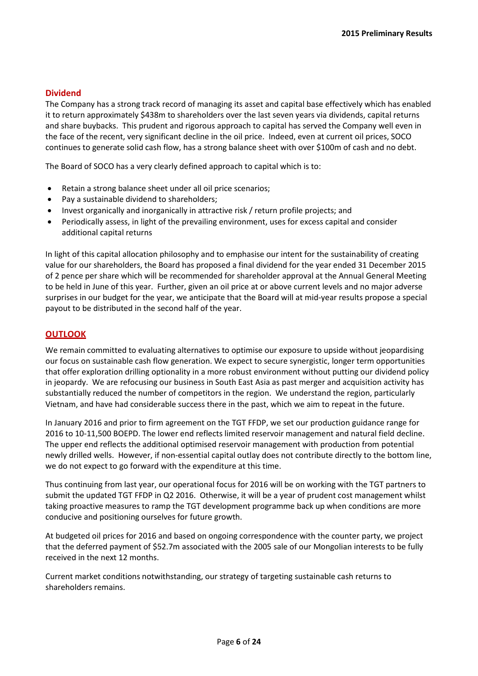#### **Dividend**

The Company has a strong track record of managing its asset and capital base effectively which has enabled it to return approximately \$438m to shareholders over the last seven years via dividends, capital returns and share buybacks. This prudent and rigorous approach to capital has served the Company well even in the face of the recent, very significant decline in the oil price. Indeed, even at current oil prices, SOCO continues to generate solid cash flow, has a strong balance sheet with over \$100m of cash and no debt.

The Board of SOCO has a very clearly defined approach to capital which is to:

- Retain a strong balance sheet under all oil price scenarios;
- Pay a sustainable dividend to shareholders;
- Invest organically and inorganically in attractive risk / return profile projects; and
- Periodically assess, in light of the prevailing environment, uses for excess capital and consider additional capital returns

In light of this capital allocation philosophy and to emphasise our intent for the sustainability of creating value for our shareholders, the Board has proposed a final dividend for the year ended 31 December 2015 of 2 pence per share which will be recommended for shareholder approval at the Annual General Meeting to be held in June of this year. Further, given an oil price at or above current levels and no major adverse surprises in our budget for the year, we anticipate that the Board will at mid-year results propose a special payout to be distributed in the second half of the year.

#### **OUTLOOK**

We remain committed to evaluating alternatives to optimise our exposure to upside without jeopardising our focus on sustainable cash flow generation. We expect to secure synergistic, longer term opportunities that offer exploration drilling optionality in a more robust environment without putting our dividend policy in jeopardy. We are refocusing our business in South East Asia as past merger and acquisition activity has substantially reduced the number of competitors in the region. We understand the region, particularly Vietnam, and have had considerable success there in the past, which we aim to repeat in the future.

In January 2016 and prior to firm agreement on the TGT FFDP, we set our production guidance range for 2016 to 10-11,500 BOEPD. The lower end reflects limited reservoir management and natural field decline. The upper end reflects the additional optimised reservoir management with production from potential newly drilled wells. However, if non-essential capital outlay does not contribute directly to the bottom line, we do not expect to go forward with the expenditure at this time.

Thus continuing from last year, our operational focus for 2016 will be on working with the TGT partners to submit the updated TGT FFDP in Q2 2016. Otherwise, it will be a year of prudent cost management whilst taking proactive measures to ramp the TGT development programme back up when conditions are more conducive and positioning ourselves for future growth.

At budgeted oil prices for 2016 and based on ongoing correspondence with the counter party, we project that the deferred payment of \$52.7m associated with the 2005 sale of our Mongolian interests to be fully received in the next 12 months.

Current market conditions notwithstanding, our strategy of targeting sustainable cash returns to shareholders remains.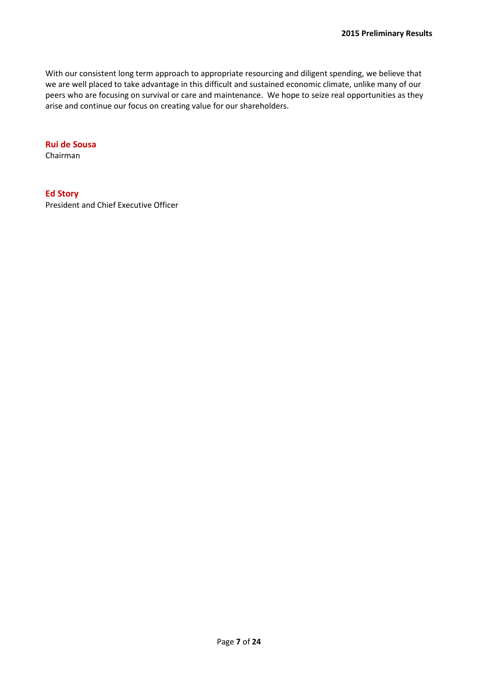With our consistent long term approach to appropriate resourcing and diligent spending, we believe that we are well placed to take advantage in this difficult and sustained economic climate, unlike many of our peers who are focusing on survival or care and maintenance. We hope to seize real opportunities as they arise and continue our focus on creating value for our shareholders.

#### **Rui de Sousa**

Chairman

#### **Ed Story**

President and Chief Executive Officer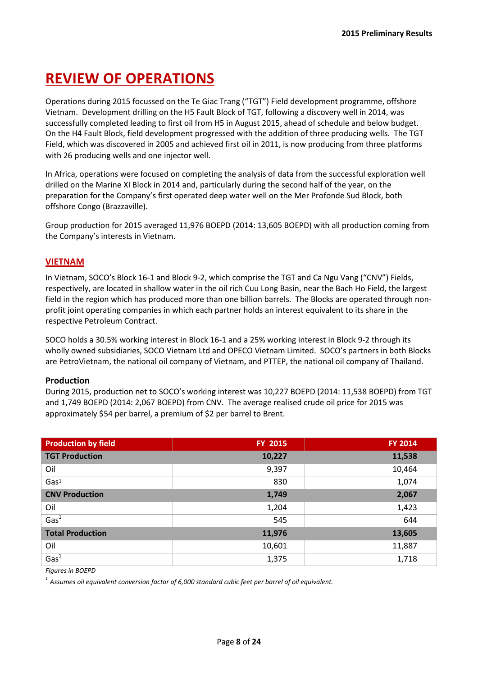# **REVIEW OF OPERATIONS**

Operations during 2015 focussed on the Te Giac Trang ("TGT") Field development programme, offshore Vietnam. Development drilling on the H5 Fault Block of TGT, following a discovery well in 2014, was successfully completed leading to first oil from H5 in August 2015, ahead of schedule and below budget. On the H4 Fault Block, field development progressed with the addition of three producing wells. The TGT Field, which was discovered in 2005 and achieved first oil in 2011, is now producing from three platforms with 26 producing wells and one injector well.

In Africa, operations were focused on completing the analysis of data from the successful exploration well drilled on the Marine XI Block in 2014 and, particularly during the second half of the year, on the preparation for the Company's first operated deep water well on the Mer Profonde Sud Block, both offshore Congo (Brazzaville).

Group production for 2015 averaged 11,976 BOEPD (2014: 13,605 BOEPD) with all production coming from the Company's interests in Vietnam.

## **VIETNAM**

In Vietnam, SOCO's Block 16-1 and Block 9-2, which comprise the TGT and Ca Ngu Vang ("CNV") Fields, respectively, are located in shallow water in the oil rich Cuu Long Basin, near the Bach Ho Field, the largest field in the region which has produced more than one billion barrels. The Blocks are operated through nonprofit joint operating companies in which each partner holds an interest equivalent to its share in the respective Petroleum Contract.

SOCO holds a 30.5% working interest in Block 16-1 and a 25% working interest in Block 9-2 through its wholly owned subsidiaries, SOCO Vietnam Ltd and OPECO Vietnam Limited. SOCO's partners in both Blocks are PetroVietnam, the national oil company of Vietnam, and PTTEP, the national oil company of Thailand.

## **Production**

During 2015, production net to SOCO's working interest was 10,227 BOEPD (2014: 11,538 BOEPD) from TGT and 1,749 BOEPD (2014: 2,067 BOEPD) from CNV. The average realised crude oil price for 2015 was approximately \$54 per barrel, a premium of \$2 per barrel to Brent.

| <b>Production by field</b> | FY 2015 | <b>FY 2014</b> |
|----------------------------|---------|----------------|
| <b>TGT Production</b>      | 10,227  | 11,538         |
| Oil                        | 9,397   | 10,464         |
| Gas <sup>1</sup>           | 830     | 1,074          |
| <b>CNV Production</b>      | 1,749   | 2,067          |
| Oil                        | 1,204   | 1,423          |
| $\overline{\text{Gas}^1}$  | 545     | 644            |
| <b>Total Production</b>    | 11,976  | 13,605         |
| Oil                        | 10,601  | 11,887         |
| $\overline{\text{Gas}^1}$  | 1,375   | 1,718          |

*Figures in BOEPD*

*1 Assumes oil equivalent conversion factor of 6,000 standard cubic feet per barrel of oil equivalent.*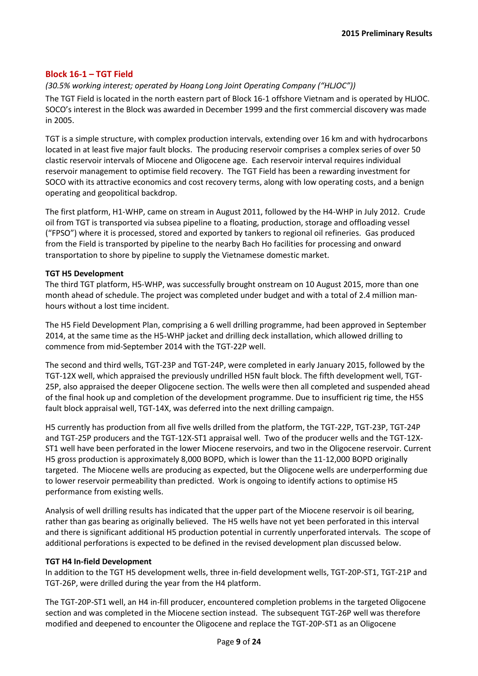## **Block 16-1 – TGT Field**

## *(30.5% working interest; operated by Hoang Long Joint Operating Company ("HLJOC"))*

The TGT Field is located in the north eastern part of Block 16-1 offshore Vietnam and is operated by HLJOC. SOCO's interest in the Block was awarded in December 1999 and the first commercial discovery was made in 2005.

TGT is a simple structure, with complex production intervals, extending over 16 km and with hydrocarbons located in at least five major fault blocks. The producing reservoir comprises a complex series of over 50 clastic reservoir intervals of Miocene and Oligocene age. Each reservoir interval requires individual reservoir management to optimise field recovery. The TGT Field has been a rewarding investment for SOCO with its attractive economics and cost recovery terms, along with low operating costs, and a benign operating and geopolitical backdrop.

The first platform, H1-WHP, came on stream in August 2011, followed by the H4-WHP in July 2012. Crude oil from TGT is transported via subsea pipeline to a floating, production, storage and offloading vessel ("FPSO") where it is processed, stored and exported by tankers to regional oil refineries. Gas produced from the Field is transported by pipeline to the nearby Bach Ho facilities for processing and onward transportation to shore by pipeline to supply the Vietnamese domestic market.

#### **TGT H5 Development**

The third TGT platform, H5-WHP, was successfully brought onstream on 10 August 2015, more than one month ahead of schedule. The project was completed under budget and with a total of 2.4 million manhours without a lost time incident.

The H5 Field Development Plan, comprising a 6 well drilling programme, had been approved in September 2014, at the same time as the H5-WHP jacket and drilling deck installation, which allowed drilling to commence from mid-September 2014 with the TGT-22P well.

The second and third wells, TGT-23P and TGT-24P, were completed in early January 2015, followed by the TGT-12X well, which appraised the previously undrilled H5N fault block. The fifth development well, TGT-25P, also appraised the deeper Oligocene section. The wells were then all completed and suspended ahead of the final hook up and completion of the development programme. Due to insufficient rig time, the H5S fault block appraisal well, TGT-14X, was deferred into the next drilling campaign.

H5 currently has production from all five wells drilled from the platform, the TGT-22P, TGT-23P, TGT-24P and TGT-25P producers and the TGT-12X-ST1 appraisal well. Two of the producer wells and the TGT-12X-ST1 well have been perforated in the lower Miocene reservoirs, and two in the Oligocene reservoir. Current H5 gross production is approximately 8,000 BOPD, which is lower than the 11-12,000 BOPD originally targeted. The Miocene wells are producing as expected, but the Oligocene wells are underperforming due to lower reservoir permeability than predicted. Work is ongoing to identify actions to optimise H5 performance from existing wells.

Analysis of well drilling results has indicated that the upper part of the Miocene reservoir is oil bearing, rather than gas bearing as originally believed. The H5 wells have not yet been perforated in this interval and there is significant additional H5 production potential in currently unperforated intervals. The scope of additional perforations is expected to be defined in the revised development plan discussed below.

#### **TGT H4 In-field Development**

In addition to the TGT H5 development wells, three in-field development wells, TGT-20P-ST1, TGT-21P and TGT-26P, were drilled during the year from the H4 platform.

The TGT-20P-ST1 well, an H4 in-fill producer, encountered completion problems in the targeted Oligocene section and was completed in the Miocene section instead. The subsequent TGT-26P well was therefore modified and deepened to encounter the Oligocene and replace the TGT-20P-ST1 as an Oligocene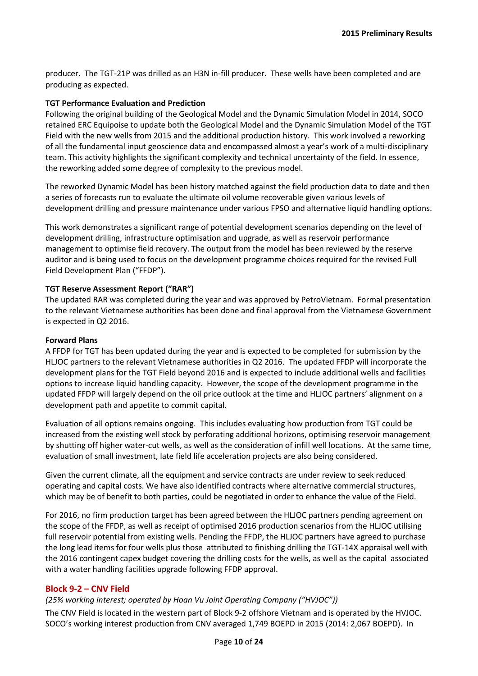producer. The TGT-21P was drilled as an H3N in-fill producer. These wells have been completed and are producing as expected.

#### **TGT Performance Evaluation and Prediction**

Following the original building of the Geological Model and the Dynamic Simulation Model in 2014, SOCO retained ERC Equipoise to update both the Geological Model and the Dynamic Simulation Model of the TGT Field with the new wells from 2015 and the additional production history. This work involved a reworking of all the fundamental input geoscience data and encompassed almost a year's work of a multi-disciplinary team. This activity highlights the significant complexity and technical uncertainty of the field. In essence, the reworking added some degree of complexity to the previous model.

The reworked Dynamic Model has been history matched against the field production data to date and then a series of forecasts run to evaluate the ultimate oil volume recoverable given various levels of development drilling and pressure maintenance under various FPSO and alternative liquid handling options.

This work demonstrates a significant range of potential development scenarios depending on the level of development drilling, infrastructure optimisation and upgrade, as well as reservoir performance management to optimise field recovery. The output from the model has been reviewed by the reserve auditor and is being used to focus on the development programme choices required for the revised Full Field Development Plan ("FFDP").

#### **TGT Reserve Assessment Report ("RAR")**

The updated RAR was completed during the year and was approved by PetroVietnam. Formal presentation to the relevant Vietnamese authorities has been done and final approval from the Vietnamese Government is expected in Q2 2016.

#### **Forward Plans**

A FFDP for TGT has been updated during the year and is expected to be completed for submission by the HLJOC partners to the relevant Vietnamese authorities in Q2 2016. The updated FFDP will incorporate the development plans for the TGT Field beyond 2016 and is expected to include additional wells and facilities options to increase liquid handling capacity. However, the scope of the development programme in the updated FFDP will largely depend on the oil price outlook at the time and HLJOC partners' alignment on a development path and appetite to commit capital.

Evaluation of all options remains ongoing. This includes evaluating how production from TGT could be increased from the existing well stock by perforating additional horizons, optimising reservoir management by shutting off higher water-cut wells, as well as the consideration of infill well locations. At the same time, evaluation of small investment, late field life acceleration projects are also being considered.

Given the current climate, all the equipment and service contracts are under review to seek reduced operating and capital costs. We have also identified contracts where alternative commercial structures, which may be of benefit to both parties, could be negotiated in order to enhance the value of the Field.

For 2016, no firm production target has been agreed between the HLJOC partners pending agreement on the scope of the FFDP, as well as receipt of optimised 2016 production scenarios from the HLJOC utilising full reservoir potential from existing wells. Pending the FFDP, the HLJOC partners have agreed to purchase the long lead items for four wells plus those attributed to finishing drilling the TGT-14X appraisal well with the 2016 contingent capex budget covering the drilling costs for the wells, as well as the capital associated with a water handling facilities upgrade following FFDP approval.

## **Block 9-2 – CNV Field**

## *(25% working interest; operated by Hoan Vu Joint Operating Company ("HVJOC"))*

The CNV Field is located in the western part of Block 9-2 offshore Vietnam and is operated by the HVJOC. SOCO's working interest production from CNV averaged 1,749 BOEPD in 2015 (2014: 2,067 BOEPD). In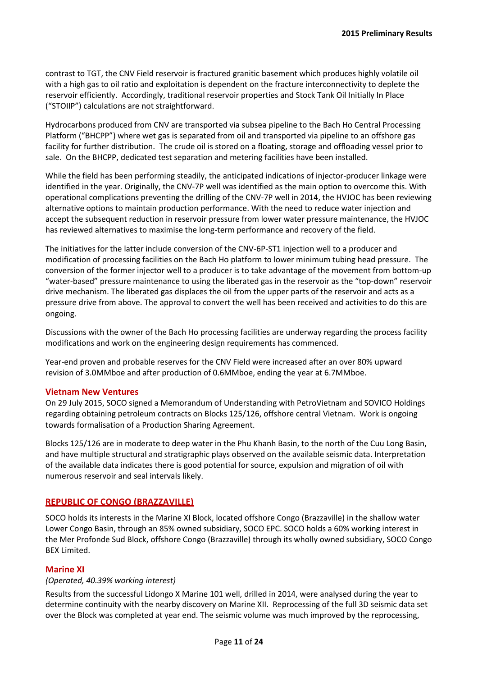contrast to TGT, the CNV Field reservoir is fractured granitic basement which produces highly volatile oil with a high gas to oil ratio and exploitation is dependent on the fracture interconnectivity to deplete the reservoir efficiently. Accordingly, traditional reservoir properties and Stock Tank Oil Initially In Place ("STOIIP") calculations are not straightforward.

Hydrocarbons produced from CNV are transported via subsea pipeline to the Bach Ho Central Processing Platform ("BHCPP") where wet gas is separated from oil and transported via pipeline to an offshore gas facility for further distribution. The crude oil is stored on a floating, storage and offloading vessel prior to sale. On the BHCPP, dedicated test separation and metering facilities have been installed.

While the field has been performing steadily, the anticipated indications of injector-producer linkage were identified in the year. Originally, the CNV-7P well was identified as the main option to overcome this. With operational complications preventing the drilling of the CNV-7P well in 2014, the HVJOC has been reviewing alternative options to maintain production performance. With the need to reduce water injection and accept the subsequent reduction in reservoir pressure from lower water pressure maintenance, the HVJOC has reviewed alternatives to maximise the long-term performance and recovery of the field.

The initiatives for the latter include conversion of the CNV-6P-ST1 injection well to a producer and modification of processing facilities on the Bach Ho platform to lower minimum tubing head pressure. The conversion of the former injector well to a producer is to take advantage of the movement from bottom-up "water-based" pressure maintenance to using the liberated gas in the reservoir as the "top-down" reservoir drive mechanism. The liberated gas displaces the oil from the upper parts of the reservoir and acts as a pressure drive from above. The approval to convert the well has been received and activities to do this are ongoing.

Discussions with the owner of the Bach Ho processing facilities are underway regarding the process facility modifications and work on the engineering design requirements has commenced.

Year-end proven and probable reserves for the CNV Field were increased after an over 80% upward revision of 3.0MMboe and after production of 0.6MMboe, ending the year at 6.7MMboe.

#### **Vietnam New Ventures**

On 29 July 2015, SOCO signed a Memorandum of Understanding with PetroVietnam and SOVICO Holdings regarding obtaining petroleum contracts on Blocks 125/126, offshore central Vietnam. Work is ongoing towards formalisation of a Production Sharing Agreement.

Blocks 125/126 are in moderate to deep water in the Phu Khanh Basin, to the north of the Cuu Long Basin, and have multiple structural and stratigraphic plays observed on the available seismic data. Interpretation of the available data indicates there is good potential for source, expulsion and migration of oil with numerous reservoir and seal intervals likely.

#### **REPUBLIC OF CONGO (BRAZZAVILLE)**

SOCO holds its interests in the Marine XI Block, located offshore Congo (Brazzaville) in the shallow water Lower Congo Basin, through an 85% owned subsidiary, SOCO EPC. SOCO holds a 60% working interest in the Mer Profonde Sud Block, offshore Congo (Brazzaville) through its wholly owned subsidiary, SOCO Congo BEX Limited.

#### **Marine XI**

#### *(Operated, 40.39% working interest)*

Results from the successful Lidongo X Marine 101 well, drilled in 2014, were analysed during the year to determine continuity with the nearby discovery on Marine XII. Reprocessing of the full 3D seismic data set over the Block was completed at year end. The seismic volume was much improved by the reprocessing,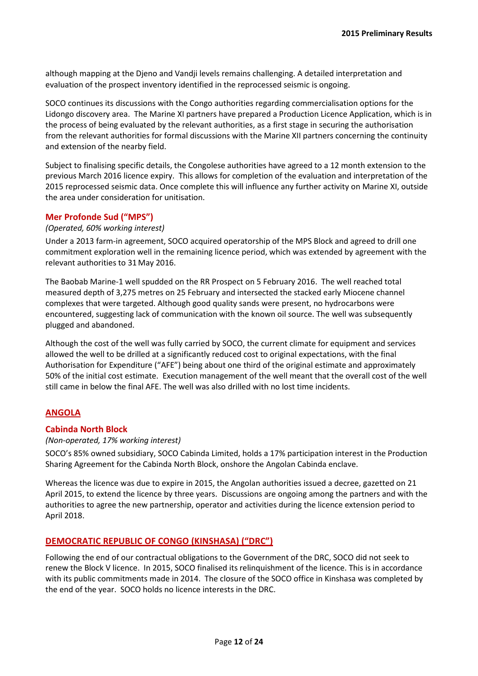although mapping at the Djeno and Vandji levels remains challenging. A detailed interpretation and evaluation of the prospect inventory identified in the reprocessed seismic is ongoing.

SOCO continues its discussions with the Congo authorities regarding commercialisation options for the Lidongo discovery area. The Marine XI partners have prepared a Production Licence Application, which is in the process of being evaluated by the relevant authorities, as a first stage in securing the authorisation from the relevant authorities for formal discussions with the Marine XII partners concerning the continuity and extension of the nearby field.

Subject to finalising specific details, the Congolese authorities have agreed to a 12 month extension to the previous March 2016 licence expiry. This allows for completion of the evaluation and interpretation of the 2015 reprocessed seismic data. Once complete this will influence any further activity on Marine XI, outside the area under consideration for unitisation.

#### **Mer Profonde Sud ("MPS")**

#### *(Operated, 60% working interest)*

Under a 2013 farm-in agreement, SOCO acquired operatorship of the MPS Block and agreed to drill one commitment exploration well in the remaining licence period, which was extended by agreement with the relevant authorities to 31May 2016.

The Baobab Marine-1 well spudded on the RR Prospect on 5 February 2016. The well reached total measured depth of 3,275 metres on 25 February and intersected the stacked early Miocene channel complexes that were targeted. Although good quality sands were present, no hydrocarbons were encountered, suggesting lack of communication with the known oil source. The well was subsequently plugged and abandoned.

Although the cost of the well was fully carried by SOCO, the current climate for equipment and services allowed the well to be drilled at a significantly reduced cost to original expectations, with the final Authorisation for Expenditure ("AFE") being about one third of the original estimate and approximately 50% of the initial cost estimate. Execution management of the well meant that the overall cost of the well still came in below the final AFE. The well was also drilled with no lost time incidents.

## **ANGOLA**

#### **Cabinda North Block**

#### *(Non-operated, 17% working interest)*

SOCO's 85% owned subsidiary, SOCO Cabinda Limited, holds a 17% participation interest in the Production Sharing Agreement for the Cabinda North Block, onshore the Angolan Cabinda enclave.

Whereas the licence was due to expire in 2015, the Angolan authorities issued a decree, gazetted on 21 April 2015, to extend the licence by three years. Discussions are ongoing among the partners and with the authorities to agree the new partnership, operator and activities during the licence extension period to April 2018.

#### **DEMOCRATIC REPUBLIC OF CONGO (KINSHASA) ("DRC")**

Following the end of our contractual obligations to the Government of the DRC, SOCO did not seek to renew the Block V licence. In 2015, SOCO finalised its relinquishment of the licence. This is in accordance with its public commitments made in 2014. The closure of the SOCO office in Kinshasa was completed by the end of the year. SOCO holds no licence interests in the DRC.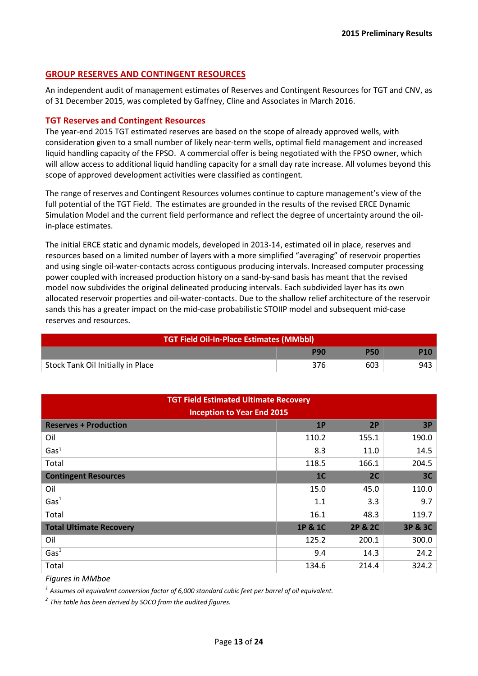#### **GROUP RESERVES AND CONTINGENT RESOURCES**

An independent audit of management estimates of Reserves and Contingent Resources for TGT and CNV, as of 31 December 2015, was completed by Gaffney, Cline and Associates in March 2016.

#### **TGT Reserves and Contingent Resources**

The year-end 2015 TGT estimated reserves are based on the scope of already approved wells, with consideration given to a small number of likely near-term wells, optimal field management and increased liquid handling capacity of the FPSO. A commercial offer is being negotiated with the FPSO owner, which will allow access to additional liquid handling capacity for a small day rate increase. All volumes beyond this scope of approved development activities were classified as contingent.

The range of reserves and Contingent Resources volumes continue to capture management's view of the full potential of the TGT Field. The estimates are grounded in the results of the revised ERCE Dynamic Simulation Model and the current field performance and reflect the degree of uncertainty around the oilin-place estimates.

The initial ERCE static and dynamic models, developed in 2013-14, estimated oil in place, reserves and resources based on a limited number of layers with a more simplified "averaging" of reservoir properties and using single oil-water-contacts across contiguous producing intervals. Increased computer processing power coupled with increased production history on a sand-by-sand basis has meant that the revised model now subdivides the original delineated producing intervals. Each subdivided layer has its own allocated reservoir properties and oil-water-contacts. Due to the shallow relief architecture of the reservoir sands this has a greater impact on the mid-case probabilistic STOIIP model and subsequent mid-case reserves and resources.

| <b>TGT Field Oil-In-Place Estimates (MMbbl)</b> |     |     |     |  |  |
|-------------------------------------------------|-----|-----|-----|--|--|
| <b>P90</b><br><b>P50</b>                        |     |     |     |  |  |
| Stock Tank Oil Initially in Place               | 376 | 603 | 943 |  |  |

| <b>TGT Field Estimated Ultimate Recovery</b><br><b>Inception to Year End 2015</b> |                |                    |         |  |  |  |
|-----------------------------------------------------------------------------------|----------------|--------------------|---------|--|--|--|
| <b>Reserves + Production</b><br>1P<br>2P                                          |                |                    |         |  |  |  |
| Oil                                                                               | 110.2          | 155.1              | 190.0   |  |  |  |
| Gas <sup>1</sup>                                                                  | 8.3            | 11.0               | 14.5    |  |  |  |
| Total                                                                             | 118.5          | 166.1              | 204.5   |  |  |  |
| <b>Contingent Resources</b>                                                       | 1 <sup>C</sup> | 2C                 | 3C      |  |  |  |
| Oil                                                                               | 15.0           | 45.0               | 110.0   |  |  |  |
| Gas <sup>1</sup>                                                                  | 1.1            | 3.3                | 9.7     |  |  |  |
| Total                                                                             | 16.1           | 48.3               | 119.7   |  |  |  |
| <b>Total Ultimate Recovery</b>                                                    | 1P & 1C        | <b>2P &amp; 2C</b> | 3P & 3C |  |  |  |
| Oil                                                                               | 125.2          | 200.1              | 300.0   |  |  |  |
| Gas <sup>1</sup>                                                                  | 9.4            | 14.3               | 24.2    |  |  |  |
| Total                                                                             | 134.6          | 214.4              | 324.2   |  |  |  |

*Figures in MMboe*

*1 Assumes oil equivalent conversion factor of 6,000 standard cubic feet per barrel of oil equivalent.*

*2 This table has been derived by SOCO from the audited figures.*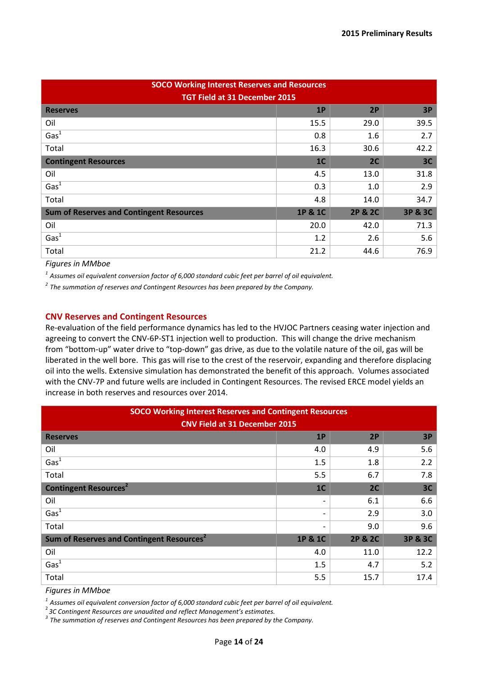| <b>SOCO Working Interest Reserves and Resources</b><br><b>TGT Field at 31 December 2015</b> |                |                    |         |  |  |  |
|---------------------------------------------------------------------------------------------|----------------|--------------------|---------|--|--|--|
| <b>Reserves</b>                                                                             | 1P             | 2P                 | 3P      |  |  |  |
| Oil                                                                                         | 15.5           | 29.0               | 39.5    |  |  |  |
| Gas <sup>1</sup>                                                                            | 0.8            | 1.6                | 2.7     |  |  |  |
| Total                                                                                       | 16.3           | 30.6               | 42.2    |  |  |  |
| <b>Contingent Resources</b>                                                                 | 1 <sup>C</sup> | 2C                 | 3C      |  |  |  |
| Oil                                                                                         | 4.5            | 13.0               | 31.8    |  |  |  |
| Gas <sup>1</sup>                                                                            | 0.3            | 1.0                | 2.9     |  |  |  |
| Total                                                                                       | 4.8            | 14.0               | 34.7    |  |  |  |
| <b>Sum of Reserves and Contingent Resources</b>                                             | 1P & 1C        | <b>2P &amp; 2C</b> | 3P & 3C |  |  |  |
| Oil                                                                                         | 20.0           | 42.0               | 71.3    |  |  |  |
| Gas <sup>1</sup>                                                                            | 1.2            | 2.6                | 5.6     |  |  |  |
| Total                                                                                       | 21.2           | 44.6               | 76.9    |  |  |  |

*Figures in MMboe*

*1 Assumes oil equivalent conversion factor of 6,000 standard cubic feet per barrel of oil equivalent.*

*2 The summation of reserves and Contingent Resources has been prepared by the Company.*

#### **CNV Reserves and Contingent Resources**

Re-evaluation of the field performance dynamics has led to the HVJOC Partners ceasing water injection and agreeing to convert the CNV-6P-ST1 injection well to production. This will change the drive mechanism from "bottom-up" water drive to "top-down" gas drive, as due to the volatile nature of the oil, gas will be liberated in the well bore. This gas will rise to the crest of the reservoir, expanding and therefore displacing oil into the wells. Extensive simulation has demonstrated the benefit of this approach. Volumes associated with the CNV-7P and future wells are included in Contingent Resources. The revised ERCE model yields an increase in both reserves and resources over 2014.

| <b>SOCO Working Interest Reserves and Contingent Resources</b><br><b>CNV Field at 31 December 2015</b> |                |         |         |  |  |  |
|--------------------------------------------------------------------------------------------------------|----------------|---------|---------|--|--|--|
| <b>Reserves</b>                                                                                        | 1P             | 2P      | 3P      |  |  |  |
| Oil                                                                                                    | 4.0            | 4.9     | 5.6     |  |  |  |
| $\overline{\text{Gas}^1}$                                                                              | 1.5            | 1.8     | 2.2     |  |  |  |
| Total                                                                                                  | 5.5            | 6.7     | 7.8     |  |  |  |
| <b>Contingent Resources<sup>2</sup></b>                                                                | 1 <sup>C</sup> | 2C      | 3C      |  |  |  |
| Oil                                                                                                    |                | 6.1     | 6.6     |  |  |  |
| Gas <sup>1</sup>                                                                                       |                | 2.9     | 3.0     |  |  |  |
| Total                                                                                                  |                | 9.0     | 9.6     |  |  |  |
| Sum of Reserves and Contingent Resources <sup>2</sup>                                                  | 1P & 1C        | 2P & 2C | 3P & 3C |  |  |  |
| Oil                                                                                                    | 4.0            | 11.0    | 12.2    |  |  |  |
| Gas <sup>1</sup>                                                                                       | 1.5            | 4.7     | 5.2     |  |  |  |
| Total                                                                                                  | 5.5            | 15.7    | 17.4    |  |  |  |

*Figures in MMboe*

*1 Assumes oil equivalent conversion factor of 6,000 standard cubic feet per barrel of oil equivalent.*

<sup>2</sup> 3C Contingent Resources are unaudited and reflect Management's estimates.

*3C Contingent Resources are unaudited and reflect Management's estimates. 3 The summation of reserves and Contingent Resources has been prepared by the Company.*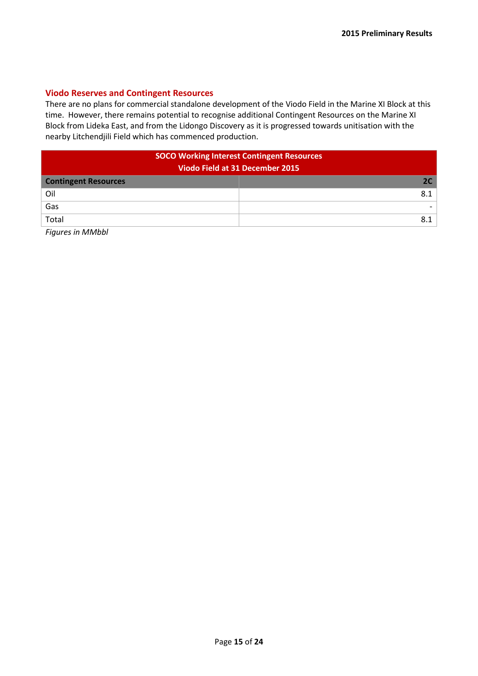#### **Viodo Reserves and Contingent Resources**

There are no plans for commercial standalone development of the Viodo Field in the Marine XI Block at this time. However, there remains potential to recognise additional Contingent Resources on the Marine XI Block from Lideka East, and from the Lidongo Discovery as it is progressed towards unitisation with the nearby Litchendjili Field which has commenced production.

| <b>SOCO Working Interest Contingent Resources</b> |     |  |  |  |
|---------------------------------------------------|-----|--|--|--|
| Viodo Field at 31 December 2015                   |     |  |  |  |
| <b>Contingent Resources</b>                       | 2C. |  |  |  |
| Oil                                               | 8.1 |  |  |  |
| Gas                                               |     |  |  |  |
| Total                                             | 8.1 |  |  |  |
|                                                   |     |  |  |  |

*Figures in MMbbl*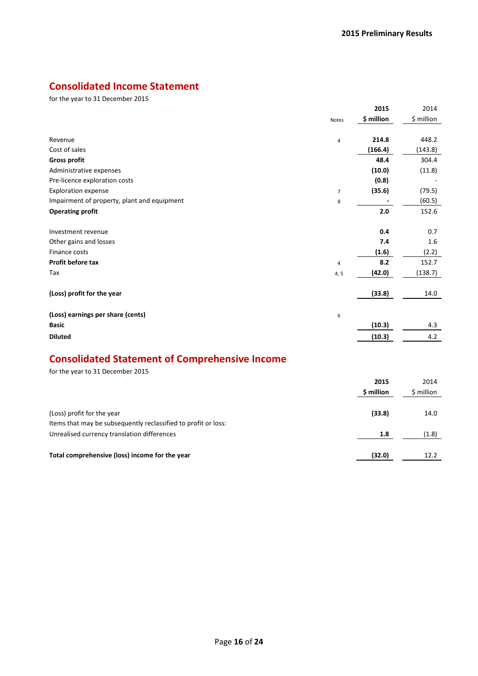# **Consolidated Income Statement**

for the year to 31 December 2015

|                                             | <b>Notes</b>   | 2015<br>\$ million | 2014<br>\$ million |
|---------------------------------------------|----------------|--------------------|--------------------|
|                                             |                |                    |                    |
| Revenue                                     | $\overline{4}$ | 214.8              | 448.2              |
| Cost of sales                               |                | (166.4)            | (143.8)            |
| <b>Gross profit</b>                         |                | 48.4               | 304.4              |
| Administrative expenses                     |                | (10.0)             | (11.8)             |
| Pre-licence exploration costs               |                | (0.8)              |                    |
| <b>Exploration expense</b>                  | $\overline{7}$ | (35.6)             | (79.5)             |
| Impairment of property, plant and equipment | 8              |                    | (60.5)             |
| <b>Operating profit</b>                     |                | 2.0                | 152.6              |
|                                             |                |                    |                    |
| Investment revenue                          |                | 0.4                | 0.7                |
| Other gains and losses                      |                | 7.4                | 1.6                |
| Finance costs                               |                | (1.6)              | (2.2)              |
| <b>Profit before tax</b>                    | $\overline{4}$ | 8.2                | 152.7              |
| Tax                                         | 4, 5           | (42.0)             | (138.7)            |
|                                             |                |                    |                    |
| (Loss) profit for the year                  |                | (33.8)             | 14.0               |
|                                             |                |                    |                    |
| (Loss) earnings per share (cents)           | 6              |                    |                    |
| <b>Basic</b>                                |                | (10.3)             | 4.3                |
| <b>Diluted</b>                              |                | (10.3)             | 4.2                |
|                                             |                |                    |                    |

# **Consolidated Statement of Comprehensive Income**

for the year to 31 December 2015

|                                                                | 2015       | 2014       |
|----------------------------------------------------------------|------------|------------|
|                                                                | \$ million | \$ million |
| (Loss) profit for the year                                     | (33.8)     | 14.0       |
| Items that may be subsequently reclassified to profit or loss: |            |            |
| Unrealised currency translation differences                    | 1.8        | (1.8)      |
| Total comprehensive (loss) income for the year                 | (32.0)     | 12.2       |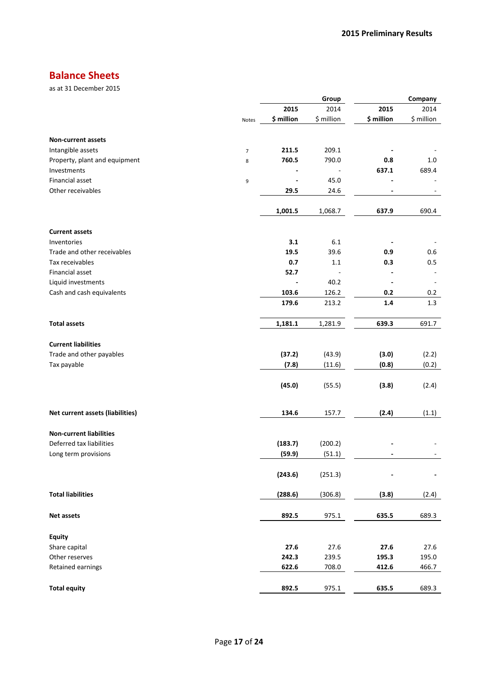# **Balance Sheets**

as at 31 December 2015

|                                  |                |            | Group      |            | Company    |
|----------------------------------|----------------|------------|------------|------------|------------|
|                                  |                | 2015       | 2014       | 2015       | 2014       |
|                                  | Notes          | \$ million | \$ million | \$ million | \$ million |
| <b>Non-current assets</b>        |                |            |            |            |            |
| Intangible assets                |                | 211.5      | 209.1      |            |            |
|                                  | $\overline{7}$ |            |            |            |            |
| Property, plant and equipment    | 8              | 760.5      | 790.0      | 0.8        | 1.0        |
| Investments                      |                |            |            | 637.1      | 689.4      |
| <b>Financial asset</b>           | 9              |            | 45.0       |            |            |
| Other receivables                |                | 29.5       | 24.6       |            |            |
|                                  |                | 1,001.5    | 1,068.7    | 637.9      | 690.4      |
| <b>Current assets</b>            |                |            |            |            |            |
| Inventories                      |                | 3.1        | 6.1        |            |            |
| Trade and other receivables      |                | 19.5       | 39.6       | 0.9        | 0.6        |
| Tax receivables                  |                | 0.7        | 1.1        | 0.3        | 0.5        |
| Financial asset                  |                | 52.7       |            |            |            |
| Liquid investments               |                |            | 40.2       |            |            |
| Cash and cash equivalents        |                | 103.6      | 126.2      | 0.2        | 0.2        |
|                                  |                | 179.6      | 213.2      | 1.4        | 1.3        |
|                                  |                |            |            |            |            |
| <b>Total assets</b>              |                | 1,181.1    | 1,281.9    | 639.3      | 691.7      |
| <b>Current liabilities</b>       |                |            |            |            |            |
| Trade and other payables         |                | (37.2)     | (43.9)     | (3.0)      | (2.2)      |
| Tax payable                      |                | (7.8)      | (11.6)     | (0.8)      | (0.2)      |
|                                  |                |            |            |            |            |
|                                  |                | (45.0)     | (55.5)     | (3.8)      | (2.4)      |
| Net current assets (liabilities) |                | 134.6      | 157.7      | (2.4)      | (1.1)      |
|                                  |                |            |            |            |            |
| <b>Non-current liabilities</b>   |                |            |            |            |            |
| Deferred tax liabilities         |                | (183.7)    | (200.2)    |            |            |
| Long term provisions             |                | (59.9)     | (51.1)     |            |            |
|                                  |                | (243.6)    | (251.3)    |            |            |
| <b>Total liabilities</b>         |                | (288.6)    | (306.8)    | (3.8)      | (2.4)      |
| <b>Net assets</b>                |                | 892.5      | 975.1      | 635.5      | 689.3      |
|                                  |                |            |            |            |            |
| <b>Equity</b>                    |                |            |            |            |            |
| Share capital                    |                | 27.6       | 27.6       | 27.6       | 27.6       |
| Other reserves                   |                | 242.3      | 239.5      | 195.3      | 195.0      |
| Retained earnings                |                | 622.6      | 708.0      | 412.6      | 466.7      |
| <b>Total equity</b>              |                | 892.5      | 975.1      | 635.5      | 689.3      |
|                                  |                |            |            |            |            |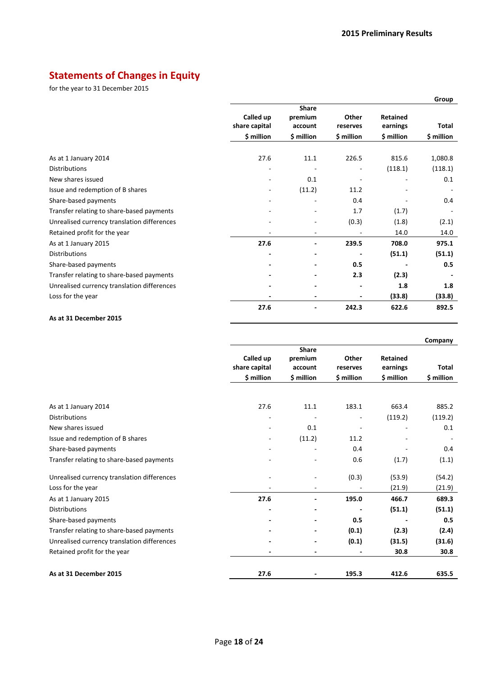# **Statements of Changes in Equity**

for the year to 31 December 2015

|                                             |                            |                                    |                          |                             | Group      |
|---------------------------------------------|----------------------------|------------------------------------|--------------------------|-----------------------------|------------|
|                                             | Called up<br>share capital | <b>Share</b><br>premium<br>account | Other<br>reserves        | <b>Retained</b><br>earnings | Total      |
|                                             | \$ million                 | \$ million                         | \$ million               | \$ million                  | \$ million |
| As at 1 January 2014                        | 27.6                       | 11.1                               | 226.5                    | 815.6                       | 1,080.8    |
| <b>Distributions</b>                        |                            |                                    | -                        | (118.1)                     | (118.1)    |
| New shares issued                           |                            | 0.1                                | $\overline{\phantom{m}}$ | $\overline{a}$              | 0.1        |
| Issue and redemption of B shares            |                            | (11.2)                             | 11.2                     |                             |            |
| Share-based payments                        |                            |                                    | 0.4                      |                             | 0.4        |
| Transfer relating to share-based payments   |                            |                                    | 1.7                      | (1.7)                       |            |
| Unrealised currency translation differences |                            |                                    | (0.3)                    | (1.8)                       | (2.1)      |
| Retained profit for the year                | $\overline{\phantom{a}}$   | $\overline{\phantom{a}}$           | $\overline{\phantom{m}}$ | 14.0                        | 14.0       |
| As at 1 January 2015                        | 27.6                       |                                    | 239.5                    | 708.0                       | 975.1      |
| Distributions                               |                            |                                    |                          | (51.1)                      | (51.1)     |
| Share-based payments                        |                            |                                    | 0.5                      |                             | 0.5        |
| Transfer relating to share-based payments   |                            |                                    | 2.3                      | (2.3)                       |            |
| Unrealised currency translation differences |                            |                                    | -                        | 1.8                         | 1.8        |
| Loss for the year                           |                            |                                    | $\overline{\phantom{0}}$ | (33.8)                      | (33.8)     |
|                                             | 27.6                       |                                    | 242.3                    | 622.6                       | 892.5      |

#### **As at 31 December 2015**

|                                             |                                          |                                                  |                                 |                                           | Company             |
|---------------------------------------------|------------------------------------------|--------------------------------------------------|---------------------------------|-------------------------------------------|---------------------|
|                                             | Called up<br>share capital<br>\$ million | <b>Share</b><br>premium<br>account<br>\$ million | Other<br>reserves<br>\$ million | <b>Retained</b><br>earnings<br>\$ million | Total<br>\$ million |
| As at 1 January 2014                        | 27.6                                     | 11.1                                             | 183.1                           | 663.4                                     | 885.2               |
| <b>Distributions</b>                        |                                          |                                                  |                                 | (119.2)                                   | (119.2)             |
| New shares issued                           |                                          | 0.1                                              |                                 |                                           | 0.1                 |
| Issue and redemption of B shares            | $\overline{\phantom{a}}$                 | (11.2)                                           | 11.2                            |                                           |                     |
| Share-based payments                        |                                          |                                                  | 0.4                             |                                           | 0.4                 |
| Transfer relating to share-based payments   |                                          |                                                  | 0.6                             | (1.7)                                     | (1.1)               |
| Unrealised currency translation differences |                                          | ÷,                                               | (0.3)                           | (53.9)                                    | (54.2)              |
| Loss for the year                           | ٠                                        | ٠                                                |                                 | (21.9)                                    | (21.9)              |
| As at 1 January 2015                        | 27.6                                     |                                                  | 195.0                           | 466.7                                     | 689.3               |
| <b>Distributions</b>                        |                                          |                                                  |                                 | (51.1)                                    | (51.1)              |
| Share-based payments                        |                                          |                                                  | 0.5                             |                                           | 0.5                 |
| Transfer relating to share-based payments   |                                          |                                                  | (0.1)                           | (2.3)                                     | (2.4)               |
| Unrealised currency translation differences |                                          |                                                  | (0.1)                           | (31.5)                                    | (31.6)              |
| Retained profit for the year                |                                          | -                                                |                                 | 30.8                                      | 30.8                |
| As at 31 December 2015                      | 27.6                                     |                                                  | 195.3                           | 412.6                                     | 635.5               |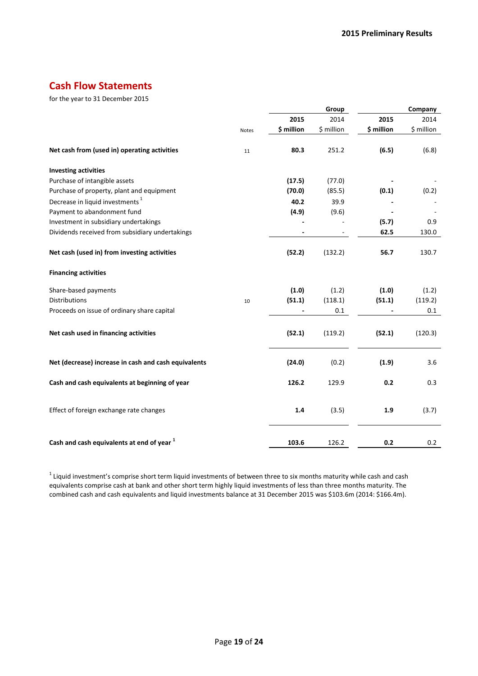## **Cash Flow Statements**

for the year to 31 December 2015

|                                                       |              |                          | Group      |                | Company    |
|-------------------------------------------------------|--------------|--------------------------|------------|----------------|------------|
|                                                       |              | 2015                     | 2014       | 2015           | 2014       |
|                                                       | <b>Notes</b> | \$ million               | \$ million | \$ million     | \$ million |
| Net cash from (used in) operating activities          | 11           | 80.3                     | 251.2      | (6.5)          | (6.8)      |
| <b>Investing activities</b>                           |              |                          |            |                |            |
| Purchase of intangible assets                         |              | (17.5)                   | (77.0)     |                |            |
| Purchase of property, plant and equipment             |              | (70.0)                   | (85.5)     | (0.1)          | (0.2)      |
| Decrease in liquid investments <sup>1</sup>           |              | 40.2                     | 39.9       |                |            |
| Payment to abandonment fund                           |              | (4.9)                    | (9.6)      |                |            |
| Investment in subsidiary undertakings                 |              |                          |            | (5.7)          | 0.9        |
| Dividends received from subsidiary undertakings       |              | $\overline{\phantom{a}}$ |            | 62.5           | 130.0      |
| Net cash (used in) from investing activities          |              | (52.2)                   | (132.2)    | 56.7           | 130.7      |
| <b>Financing activities</b>                           |              |                          |            |                |            |
| Share-based payments                                  |              | (1.0)                    | (1.2)      | (1.0)          | (1.2)      |
| <b>Distributions</b>                                  | 10           | (51.1)                   | (118.1)    | (51.1)         | (119.2)    |
| Proceeds on issue of ordinary share capital           |              | $\overline{\phantom{a}}$ | 0.1        | $\blacksquare$ | 0.1        |
| Net cash used in financing activities                 |              | (52.1)                   | (119.2)    | (52.1)         | (120.3)    |
| Net (decrease) increase in cash and cash equivalents  |              | (24.0)                   | (0.2)      | (1.9)          | 3.6        |
| Cash and cash equivalents at beginning of year        |              | 126.2                    | 129.9      | 0.2            | 0.3        |
| Effect of foreign exchange rate changes               |              | 1.4                      | (3.5)      | 1.9            | (3.7)      |
| Cash and cash equivalents at end of year <sup>1</sup> |              | 103.6                    | 126.2      | 0.2            | 0.2        |

 $1$  Liquid investment's comprise short term liquid investments of between three to six months maturity while cash and cash equivalents comprise cash at bank and other short term highly liquid investments of less than three months maturity. The combined cash and cash equivalents and liquid investments balance at 31 December 2015 was \$103.6m (2014: \$166.4m).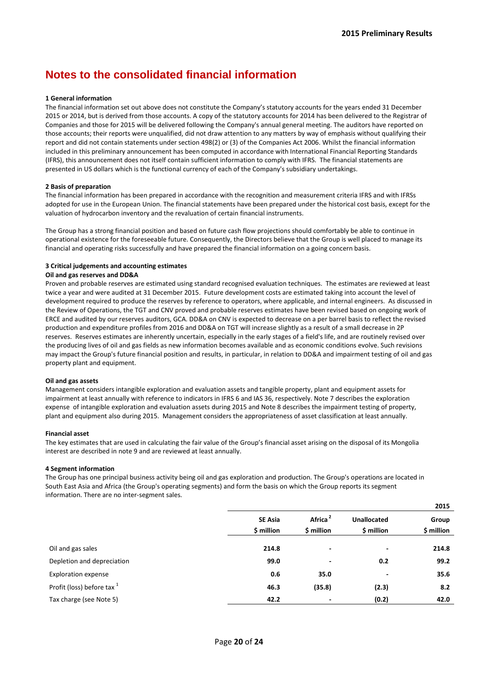# **Notes to the consolidated financial information**

#### **1 General information**

The financial information set out above does not constitute the Company's statutory accounts for the years ended 31 December 2015 or 2014, but is derived from those accounts. A copy of the statutory accounts for 2014 has been delivered to the Registrar of Companies and those for 2015 will be delivered following the Company's annual general meeting. The auditors have reported on those accounts; their reports were unqualified, did not draw attention to any matters by way of emphasis without qualifying their report and did not contain statements under section 498(2) or (3) of the Companies Act 2006. Whilst the financial information included in this preliminary announcement has been computed in accordance with International Financial Reporting Standards (IFRS), this announcement does not itself contain sufficient information to comply with IFRS. The financial statements are presented in US dollars which is the functional currency of each of the Company's subsidiary undertakings.

#### **2 Basis of preparation**

The financial information has been prepared in accordance with the recognition and measurement criteria IFRS and with IFRSs adopted for use in the European Union. The financial statements have been prepared under the historical cost basis, except for the valuation of hydrocarbon inventory and the revaluation of certain financial instruments.

The Group has a strong financial position and based on future cash flow projections should comfortably be able to continue in operational existence for the foreseeable future. Consequently, the Directors believe that the Group is well placed to manage its financial and operating risks successfully and have prepared the financial information on a going concern basis.

#### **3 Critical judgements and accounting estimates**

#### **Oil and gas reserves and DD&A**

Proven and probable reserves are estimated using standard recognised evaluation techniques. The estimates are reviewed at least twice a year and were audited at 31 December 2015. Future development costs are estimated taking into account the level of development required to produce the reserves by reference to operators, where applicable, and internal engineers. As discussed in the Review of Operations, the TGT and CNV proved and probable reserves estimates have been revised based on ongoing work of ERCE and audited by our reserves auditors, GCA. DD&A on CNV is expected to decrease on a per barrel basis to reflect the revised production and expenditure profiles from 2016 and DD&A on TGT will increase slightly as a result of a small decrease in 2P reserves. Reserves estimates are inherently uncertain, especially in the early stages of a field's life, and are routinely revised over the producing lives of oil and gas fields as new information becomes available and as economic conditions evolve. Such revisions may impact the Group's future financial position and results, in particular, in relation to DD&A and impairment testing of oil and gas property plant and equipment.

#### **Oil and gas assets**

Management considers intangible exploration and evaluation assets and tangible property, plant and equipment assets for impairment at least annually with reference to indicators in IFRS 6 and IAS 36, respectively. Note 7 describes the exploration expense of intangible exploration and evaluation assets during 2015 and Note 8 describes the impairment testing of property, plant and equipment also during 2015. Management considers the appropriateness of asset classification at least annually.

#### **Financial asset**

The key estimates that are used in calculating the fair value of the Group's financial asset arising on the disposal of its Mongolia interest are described in note 9 and are reviewed at least annually.

#### **4 Segment information**

The Group has one principal business activity being oil and gas exploration and production. The Group's operations are located in South East Asia and Africa (the Group's operating segments) and form the basis on which the Group reports its segment information. There are no inter-segment sales.

|                                       |                              |                                   |                                  | 2015                |
|---------------------------------------|------------------------------|-----------------------------------|----------------------------------|---------------------|
|                                       | <b>SE Asia</b><br>\$ million | Africa <sup>2</sup><br>\$ million | <b>Unallocated</b><br>\$ million | Group<br>\$ million |
|                                       |                              |                                   |                                  |                     |
| Oil and gas sales                     | 214.8                        |                                   | $\overline{\phantom{a}}$         | 214.8               |
| Depletion and depreciation            | 99.0                         | ۰                                 | 0.2                              | 99.2                |
| <b>Exploration expense</b>            | 0.6                          | 35.0                              | $\qquad \qquad \blacksquare$     | 35.6                |
| Profit (loss) before tax <sup>1</sup> | 46.3                         | (35.8)                            | (2.3)                            | 8.2                 |
| Tax charge (see Note 5)               | 42.2                         | ٠                                 | (0.2)                            | 42.0                |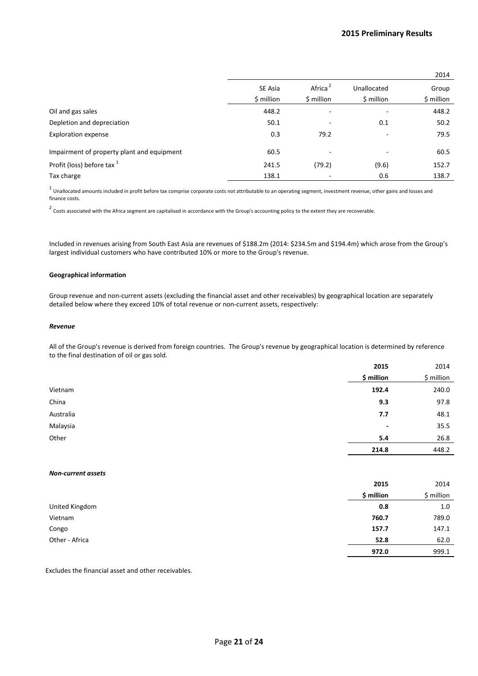|                                            |            |                     |             | 2014       |
|--------------------------------------------|------------|---------------------|-------------|------------|
|                                            | SE Asia    | Africa <sup>2</sup> | Unallocated | Group      |
|                                            | \$ million | \$ million          | \$ million  | \$ million |
| Oil and gas sales                          | 448.2      |                     | ۰           | 448.2      |
| Depletion and depreciation                 | 50.1       | ۰                   | 0.1         | 50.2       |
| <b>Exploration expense</b>                 | 0.3        | 79.2                | ۰           | 79.5       |
| Impairment of property plant and equipment | 60.5       | ۰                   | ۰           | 60.5       |
| Profit (loss) before tax <sup>1</sup>      | 241.5      | (79.2)              | (9.6)       | 152.7      |
| Tax charge                                 | 138.1      |                     | 0.6         | 138.7      |

 $^1$  Unallocated amounts included in profit before tax comprise corporate costs not attributable to an operating segment, investment revenue, other gains and losses and finance costs.

 $2$  Costs associated with the Africa segment are capitalised in accordance with the Group's accounting policy to the extent they are recoverable.

Included in revenues arising from South East Asia are revenues of \$188.2m (2014: \$234.5m and \$194.4m) which arose from the Group's largest individual customers who have contributed 10% or more to the Group's revenue.

#### **Geographical information**

Group revenue and non-current assets (excluding the financial asset and other receivables) by geographical location are separately detailed below where they exceed 10% of total revenue or non-current assets, respectively:

#### *Revenue*

All of the Group's revenue is derived from foreign countries. The Group's revenue by geographical location is determined by reference to the final destination of oil or gas sold.

|           | 2015       | 2014       |
|-----------|------------|------------|
|           | \$ million | \$ million |
| Vietnam   | 192.4      | 240.0      |
| China     | 9.3        | 97.8       |
| Australia | 7.7        | 48.1       |
| Malaysia  | ٠          | 35.5       |
| Other     | 5.4        | 26.8       |
|           | 214.8      | 448.2      |

#### *Non-current assets*

|                | 2015       | 2014       |
|----------------|------------|------------|
|                | \$ million | \$ million |
| United Kingdom | 0.8        | 1.0        |
| Vietnam        | 760.7      | 789.0      |
| Congo          | 157.7      | 147.1      |
| Other - Africa | 52.8       | 62.0       |
|                | 972.0      | 999.1      |

Excludes the financial asset and other receivables.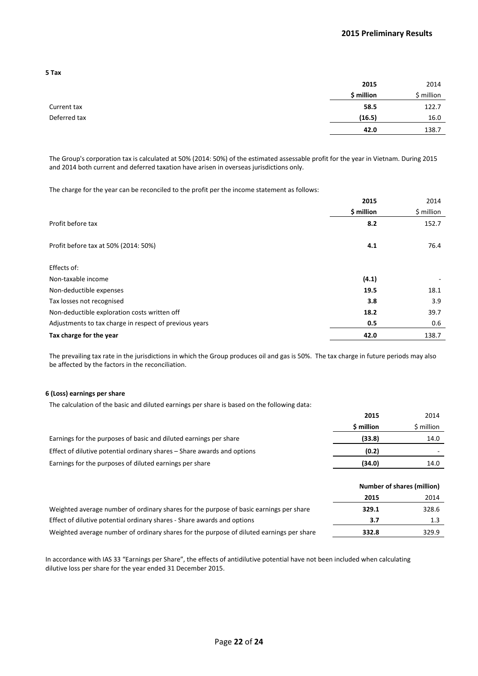**2015** 2014 **\$ million \$ million** Current tax **58.5** 122.7 Deferred tax **(16.5)** 16.0 **42.0** 138.7

The Group's corporation tax is calculated at 50% (2014: 50%) of the estimated assessable profit for the year in Vietnam. During 2015 and 2014 both current and deferred taxation have arisen in overseas jurisdictions only.

The charge for the year can be reconciled to the profit per the income statement as follows:

|                                                        | 2015       | 2014       |
|--------------------------------------------------------|------------|------------|
|                                                        | \$ million | \$ million |
| Profit before tax                                      | 8.2        | 152.7      |
| Profit before tax at 50% (2014: 50%)                   | 4.1        | 76.4       |
| Effects of:                                            |            |            |
| Non-taxable income                                     | (4.1)      |            |
| Non-deductible expenses                                | 19.5       | 18.1       |
| Tax losses not recognised                              | 3.8        | 3.9        |
| Non-deductible exploration costs written off           | 18.2       | 39.7       |
| Adjustments to tax charge in respect of previous years | 0.5        | 0.6        |
| Tax charge for the year                                | 42.0       | 138.7      |

The prevailing tax rate in the jurisdictions in which the Group produces oil and gas is 50%. The tax charge in future periods may also be affected by the factors in the reconciliation.

#### **6 (Loss) earnings per share**

The calculation of the basic and diluted earnings per share is based on the following data:

|                                                                                          | 2015                       | 2014       |
|------------------------------------------------------------------------------------------|----------------------------|------------|
|                                                                                          | \$ million                 | \$ million |
| Earnings for the purposes of basic and diluted earnings per share                        | (33.8)                     | 14.0       |
| Effect of dilutive potential ordinary shares – Share awards and options                  | (0.2)                      |            |
| Earnings for the purposes of diluted earnings per share                                  | (34.0)                     | 14.0       |
|                                                                                          |                            |            |
|                                                                                          | Number of shares (million) |            |
|                                                                                          | 2015                       | 2014       |
| Weighted average number of ordinary shares for the purpose of basic earnings per share   | 329.1                      | 328.6      |
| Effect of dilutive potential ordinary shares - Share awards and options                  | 3.7                        | 1.3        |
| Weighted average number of ordinary shares for the purpose of diluted earnings per share | 332.8                      | 329.9      |

In accordance with IAS 33 "Earnings per Share", the effects of antidilutive potential have not been included when calculating dilutive loss per share for the year ended 31 December 2015.

| ×<br>I<br>× | × |
|-------------|---|
|-------------|---|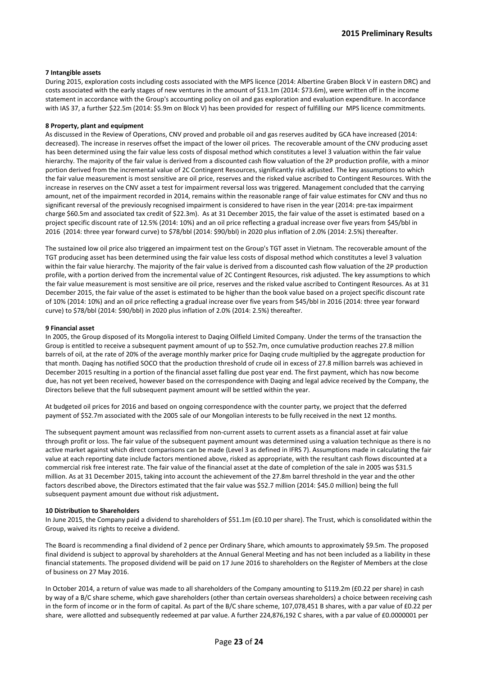#### **7 Intangible assets**

During 2015, exploration costs including costs associated with the MPS licence (2014: Albertine Graben Block V in eastern DRC) and costs associated with the early stages of new ventures in the amount of \$13.1m (2014: \$73.6m), were written off in the income statement in accordance with the Group's accounting policy on oil and gas exploration and evaluation expenditure. In accordance with IAS 37, a further \$22.5m (2014: \$5.9m on Block V) has been provided for respect of fulfilling our MPS licence commitments.

#### **8 Property, plant and equipment**

As discussed in the Review of Operations, CNV proved and probable oil and gas reserves audited by GCA have increased (2014: decreased). The increase in reserves offset the impact of the lower oil prices. The recoverable amount of the CNV producing asset has been determined using the fair value less costs of disposal method which constitutes a level 3 valuation within the fair value hierarchy. The majority of the fair value is derived from a discounted cash flow valuation of the 2P production profile, with a minor portion derived from the incremental value of 2C Contingent Resources, significantly risk adjusted. The key assumptions to which the fair value measurement is most sensitive are oil price, reserves and the risked value ascribed to Contingent Resources. With the increase in reserves on the CNV asset a test for impairment reversal loss was triggered. Management concluded that the carrying amount, net of the impairment recorded in 2014, remains within the reasonable range of fair value estimates for CNV and thus no significant reversal of the previously recognised impairment is considered to have risen in the year (2014: pre-tax impairment charge \$60.5m and associated tax credit of \$22.3m). As at 31 December 2015, the fair value of the asset is estimated based on a project specific discount rate of 12.5% (2014: 10%) and an oil price reflecting a gradual increase over five years from \$45/bbl in 2016 (2014: three year forward curve) to \$78/bbl (2014: \$90/bbl) in 2020 plus inflation of 2.0% (2014: 2.5%) thereafter.

The sustained low oil price also triggered an impairment test on the Group's TGT asset in Vietnam. The recoverable amount of the TGT producing asset has been determined using the fair value less costs of disposal method which constitutes a level 3 valuation within the fair value hierarchy. The majority of the fair value is derived from a discounted cash flow valuation of the 2P production profile, with a portion derived from the incremental value of 2C Contingent Resources, risk adjusted. The key assumptions to which the fair value measurement is most sensitive are oil price, reserves and the risked value ascribed to Contingent Resources. As at 31 December 2015, the fair value of the asset is estimated to be higher than the book value based on a project specific discount rate of 10% (2014: 10%) and an oil price reflecting a gradual increase over five years from \$45/bbl in 2016 (2014: three year forward curve) to \$78/bbl (2014: \$90/bbl) in 2020 plus inflation of 2.0% (2014: 2.5%) thereafter.

#### **9 Financial asset**

In 2005, the Group disposed of its Mongolia interest to Daqing Oilfield Limited Company. Under the terms of the transaction the Group is entitled to receive a subsequent payment amount of up to \$52.7m, once cumulative production reaches 27.8 million barrels of oil, at the rate of 20% of the average monthly marker price for Daqing crude multiplied by the aggregate production for that month. Daqing has notified SOCO that the production threshold of crude oil in excess of 27.8 million barrels was achieved in December 2015 resulting in a portion of the financial asset falling due post year end. The first payment, which has now become due, has not yet been received, however based on the correspondence with Daqing and legal advice received by the Company, the Directors believe that the full subsequent payment amount will be settled within the year.

At budgeted oil prices for 2016 and based on ongoing correspondence with the counter party, we project that the deferred payment of \$52.7m associated with the 2005 sale of our Mongolian interests to be fully received in the next 12 months.

The subsequent payment amount was reclassified from non-current assets to current assets as a financial asset at fair value through profit or loss. The fair value of the subsequent payment amount was determined using a valuation technique as there is no active market against which direct comparisons can be made (Level 3 as defined in IFRS 7). Assumptions made in calculating the fair value at each reporting date include factors mentioned above, risked as appropriate, with the resultant cash flows discounted at a commercial risk free interest rate. The fair value of the financial asset at the date of completion of the sale in 2005 was \$31.5 million. As at 31 December 2015, taking into account the achievement of the 27.8m barrel threshold in the year and the other factors described above, the Directors estimated that the fair value was \$52.7 million (2014: \$45.0 million) being the full subsequent payment amount due without risk adjustment**.**

#### **10 Distribution to Shareholders**

In June 2015, the Company paid a dividend to shareholders of \$51.1m (£0.10 per share). The Trust, which is consolidated within the Group, waived its rights to receive a dividend.

The Board is recommending a final dividend of 2 pence per Ordinary Share, which amounts to approximately \$9.5m. The proposed final dividend is subject to approval by shareholders at the Annual General Meeting and has not been included as a liability in these financial statements. The proposed dividend will be paid on 17 June 2016 to shareholders on the Register of Members at the close of business on 27 May 2016.

In October 2014, a return of value was made to all shareholders of the Company amounting to \$119.2m (£0.22 per share) in cash by way of a B/C share scheme, which gave shareholders (other than certain overseas shareholders) a choice between receiving cash in the form of income or in the form of capital. As part of the B/C share scheme, 107,078,451 B shares, with a par value of £0.22 per share, were allotted and subsequently redeemed at par value. A further 224,876,192 C shares, with a par value of £0.0000001 per